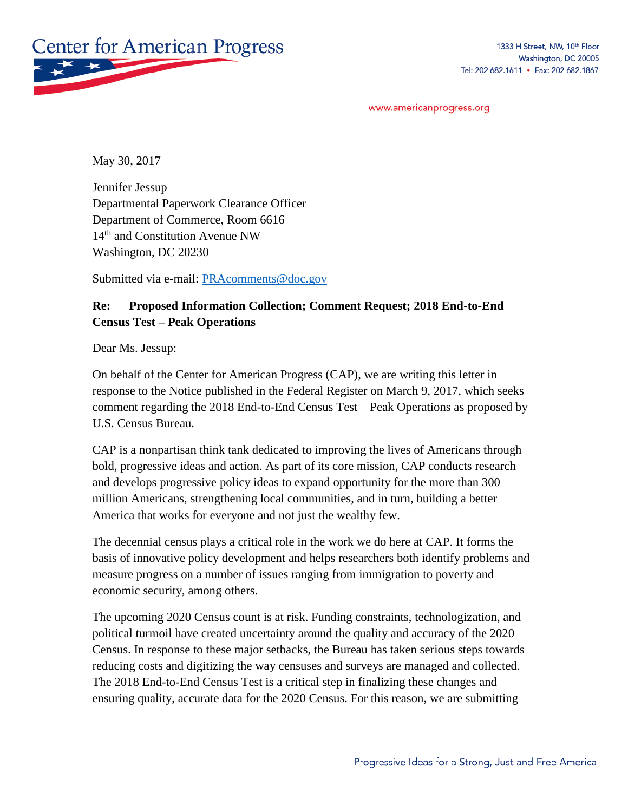

www.americanprogress.org

May 30, 2017

Jennifer Jessup Departmental Paperwork Clearance Officer Department of Commerce, Room 6616 14<sup>th</sup> and Constitution Avenue NW Washington, DC 20230

Submitted via e-mail: [PRAcomments@doc.gov](mailto:PRAcomments@doc.gov)

## **Re: Proposed Information Collection; Comment Request; 2018 End-to-End Census Test – Peak Operations**

Dear Ms. Jessup:

On behalf of the Center for American Progress (CAP), we are writing this letter in response to the Notice published in the Federal Register on March 9, 2017, which seeks comment regarding the 2018 End-to-End Census Test – Peak Operations as proposed by U.S. Census Bureau.

CAP is a nonpartisan think tank dedicated to improving the lives of Americans through bold, progressive ideas and action. As part of its core mission, CAP conducts research and develops progressive policy ideas to expand opportunity for the more than 300 million Americans, strengthening local communities, and in turn, building a better America that works for everyone and not just the wealthy few.

The decennial census plays a critical role in the work we do here at CAP. It forms the basis of innovative policy development and helps researchers both identify problems and measure progress on a number of issues ranging from immigration to poverty and economic security, among others.

The upcoming 2020 Census count is at risk. Funding constraints, technologization, and political turmoil have created uncertainty around the quality and accuracy of the 2020 Census. In response to these major setbacks, the Bureau has taken serious steps towards reducing costs and digitizing the way censuses and surveys are managed and collected. The 2018 End-to-End Census Test is a critical step in finalizing these changes and ensuring quality, accurate data for the 2020 Census. For this reason, we are submitting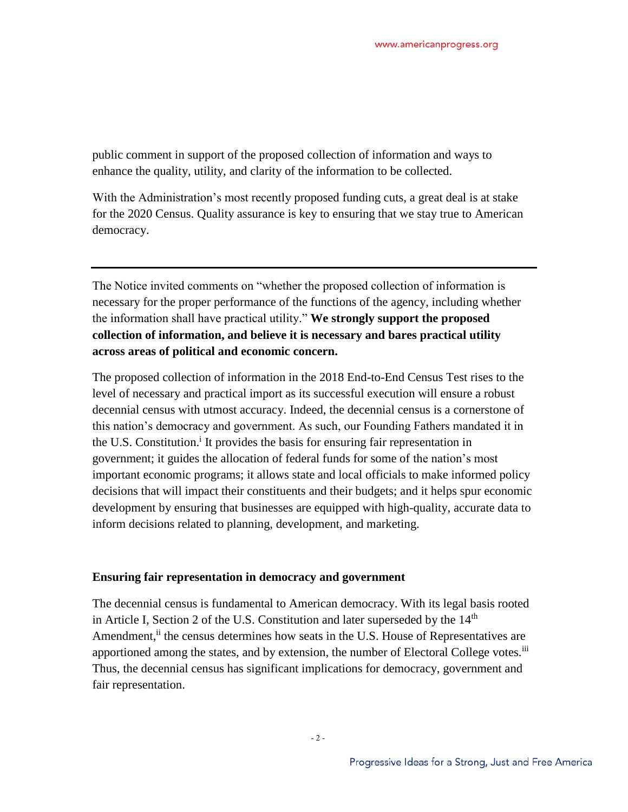public comment in support of the proposed collection of information and ways to enhance the quality, utility, and clarity of the information to be collected.

With the Administration's most recently proposed funding cuts, a great deal is at stake for the 2020 Census. Quality assurance is key to ensuring that we stay true to American democracy.

The Notice invited comments on "whether the proposed collection of information is necessary for the proper performance of the functions of the agency, including whether the information shall have practical utility." **We strongly support the proposed collection of information, and believe it is necessary and bares practical utility across areas of political and economic concern.**

The proposed collection of information in the 2018 End-to-End Census Test rises to the level of necessary and practical import as its successful execution will ensure a robust decennial census with utmost accuracy. Indeed, the decennial census is a cornerstone of this nation's democracy and government. As such, our Founding Fathers mandated it in the U.S. Constitution.<sup>i</sup> It provides the basis for ensuring fair representation in government; it guides the allocation of federal funds for some of the nation's most important economic programs; it allows state and local officials to make informed policy decisions that will impact their constituents and their budgets; and it helps spur economic development by ensuring that businesses are equipped with high-quality, accurate data to inform decisions related to planning, development, and marketing.

## **Ensuring fair representation in democracy and government**

The decennial census is fundamental to American democracy. With its legal basis rooted in Article I, Section 2 of the U.S. Constitution and later superseded by the  $14<sup>th</sup>$ Amendment,<sup>ii</sup> the census determines how seats in the U.S. House of Representatives are apportioned among the states, and by extension, the number of Electoral College votes.<sup>iii</sup> Thus, the decennial census has significant implications for democracy, government and fair representation.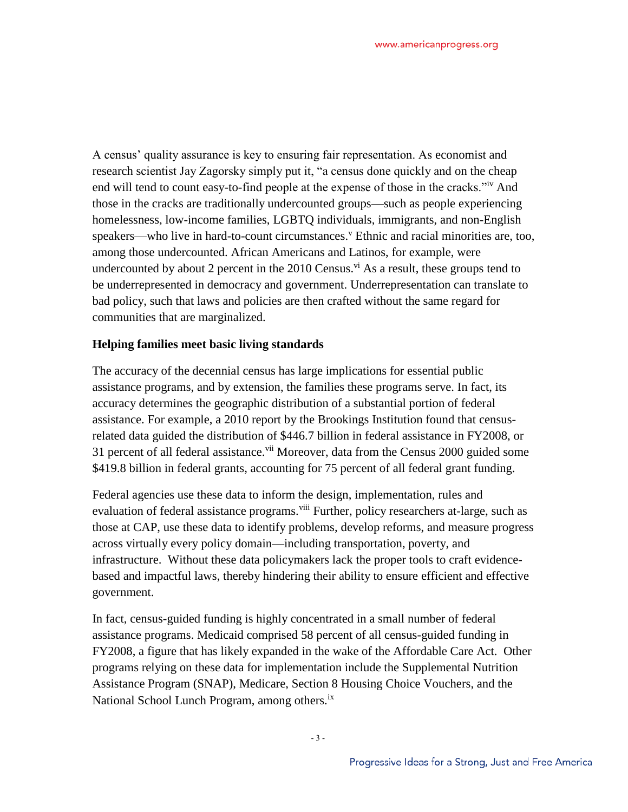A census' quality assurance is key to ensuring fair representation. As economist and research scientist Jay Zagorsky simply put it, "a census done quickly and on the cheap end will tend to count easy-to-find people at the expense of those in the cracks.<sup>"iv</sup> And those in the cracks are traditionally undercounted groups—such as people experiencing homelessness, low-income families, LGBTQ individuals, immigrants, and non-English speakers—who live in hard-to-count circumstances.<sup>v</sup> Ethnic and racial minorities are, too, among those undercounted. African Americans and Latinos, for example, were undercounted by about 2 percent in the  $2010$  Census.<sup>vi</sup> As a result, these groups tend to be underrepresented in democracy and government. Underrepresentation can translate to bad policy, such that laws and policies are then crafted without the same regard for communities that are marginalized.

## **Helping families meet basic living standards**

The accuracy of the decennial census has large implications for essential public assistance programs, and by extension, the families these programs serve. In fact, its accuracy determines the geographic distribution of a substantial portion of federal assistance. For example, a 2010 report by the Brookings Institution found that censusrelated data guided the distribution of \$446.7 billion in federal assistance in FY2008, or 31 percent of all federal assistance.<sup>vii</sup> Moreover, data from the Census 2000 guided some \$419.8 billion in federal grants, accounting for 75 percent of all federal grant funding.

Federal agencies use these data to inform the design, implementation, rules and evaluation of federal assistance programs.<sup>viii</sup> Further, policy researchers at-large, such as those at CAP, use these data to identify problems, develop reforms, and measure progress across virtually every policy domain—including transportation, poverty, and infrastructure. Without these data policymakers lack the proper tools to craft evidencebased and impactful laws, thereby hindering their ability to ensure efficient and effective government.

In fact, census-guided funding is highly concentrated in a small number of federal assistance programs. Medicaid comprised 58 percent of all census-guided funding in FY2008, a figure that has likely expanded in the wake of the Affordable Care Act. Other programs relying on these data for implementation include the Supplemental Nutrition Assistance Program (SNAP), Medicare, Section 8 Housing Choice Vouchers, and the National School Lunch Program, among others.<sup>ix</sup>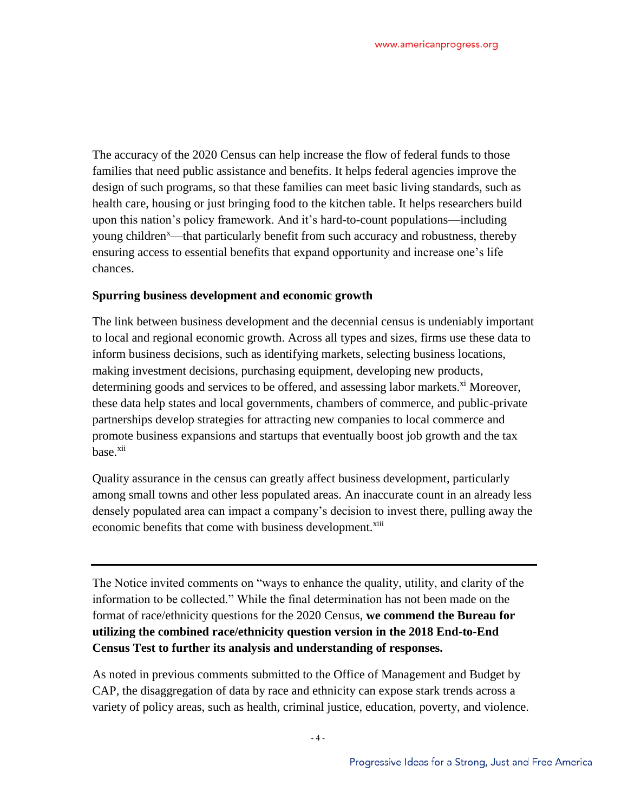The accuracy of the 2020 Census can help increase the flow of federal funds to those families that need public assistance and benefits. It helps federal agencies improve the design of such programs, so that these families can meet basic living standards, such as health care, housing or just bringing food to the kitchen table. It helps researchers build upon this nation's policy framework. And it's hard-to-count populations—including young children<sup>x</sup>—that particularly benefit from such accuracy and robustness, thereby ensuring access to essential benefits that expand opportunity and increase one's life chances.

## **Spurring business development and economic growth**

The link between business development and the decennial census is undeniably important to local and regional economic growth. Across all types and sizes, firms use these data to inform business decisions, such as identifying markets, selecting business locations, making investment decisions, purchasing equipment, developing new products, determining goods and services to be offered, and assessing labor markets.<sup>xi</sup> Moreover, these data help states and local governments, chambers of commerce, and public-private partnerships develop strategies for attracting new companies to local commerce and promote business expansions and startups that eventually boost job growth and the tax base.<sup>xii</sup>

Quality assurance in the census can greatly affect business development, particularly among small towns and other less populated areas. An inaccurate count in an already less densely populated area can impact a company's decision to invest there, pulling away the economic benefits that come with business development.<sup>xiii</sup>

The Notice invited comments on "ways to enhance the quality, utility, and clarity of the information to be collected." While the final determination has not been made on the format of race/ethnicity questions for the 2020 Census, **we commend the Bureau for utilizing the combined race/ethnicity question version in the 2018 End-to-End Census Test to further its analysis and understanding of responses.**

As noted in previous comments submitted to the Office of Management and Budget by CAP, the disaggregation of data by race and ethnicity can expose stark trends across a variety of policy areas, such as health, criminal justice, education, poverty, and violence.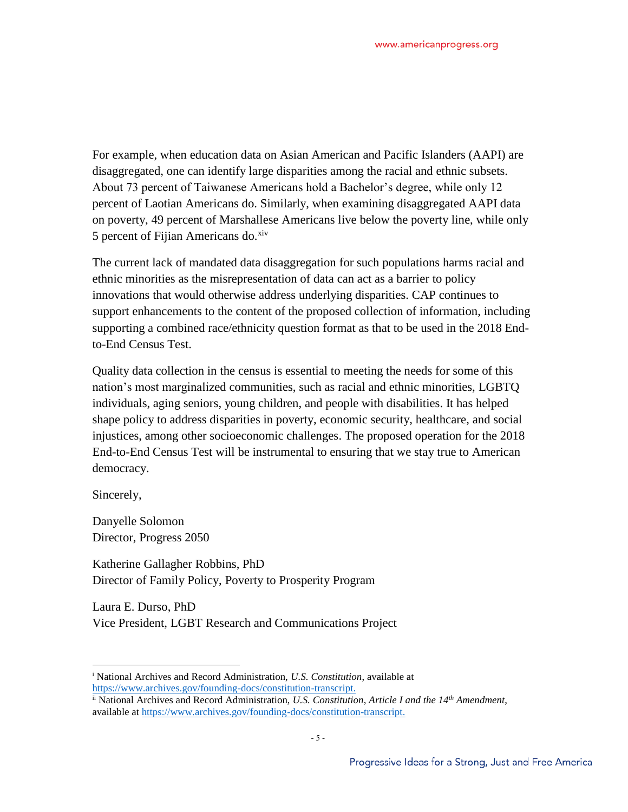For example, when education data on Asian American and Pacific Islanders (AAPI) are disaggregated, one can identify large disparities among the racial and ethnic subsets. About 73 percent of Taiwanese Americans hold a Bachelor's degree, while only 12 percent of Laotian Americans do. Similarly, when examining disaggregated AAPI data on poverty, 49 percent of Marshallese Americans live below the poverty line, while only 5 percent of Fijian Americans do. $x$ iv

The current lack of mandated data disaggregation for such populations harms racial and ethnic minorities as the misrepresentation of data can act as a barrier to policy innovations that would otherwise address underlying disparities. CAP continues to support enhancements to the content of the proposed collection of information, including supporting a combined race/ethnicity question format as that to be used in the 2018 Endto-End Census Test.

Quality data collection in the census is essential to meeting the needs for some of this nation's most marginalized communities, such as racial and ethnic minorities, LGBTQ individuals, aging seniors, young children, and people with disabilities. It has helped shape policy to address disparities in poverty, economic security, healthcare, and social injustices, among other socioeconomic challenges. The proposed operation for the 2018 End-to-End Census Test will be instrumental to ensuring that we stay true to American democracy.

Sincerely,

 $\overline{a}$ 

Danyelle Solomon Director, Progress 2050

Katherine Gallagher Robbins, PhD Director of Family Policy, Poverty to Prosperity Program

Laura E. Durso, PhD Vice President, LGBT Research and Communications Project

<sup>i</sup> National Archives and Record Administration, *U.S. Constitution*, available at [https://www.archives.gov/founding-docs/constitution-transcript.](https://www.archives.gov/founding-docs/constitution-transcript)

ii National Archives and Record Administration, *U.S. Constitution*, *Article I and the 14th Amendment*, available at [https://www.archives.gov/founding-docs/constitution-transcript.](https://www.archives.gov/founding-docs/constitution-transcript)